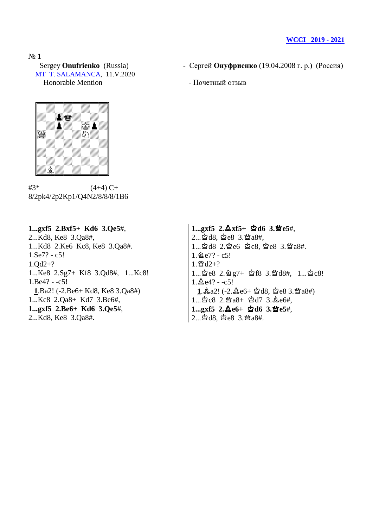MT T. SALAMANCA, 11.V.2020 Honorable Mention **- Почетный отзыв** 

- Sergey **Onufrienko** (Russia) Сергей **Онуфриенко** (19.04.2008 г. р.) (Россия)
	-



 $#3^*$  (4+4) C+ 8/2pk4/2p2Kp1/Q4N2/8/8/8/1B6

**1...gxf5 2.Bxf5+ Kd6 3.Qe5**#, 2...Kd8, Ke8 3.Qa8#, 1...Kd8 2.Ke6 Kc8, Ke8 3.Qa8#. 1.Se7? - c5! 1.Qd2+? 1...Ke8 2.Sg7+ Kf8 3.Qd8#, 1...Kc8! 1.Be4? - -c5! **1**.Ba2! (-2.Be6+ Kd8, Ke8 3.Qa8#) 1...Kc8 2.Qa8+ Kd7 3.Be6#, **1...gxf5 2.Be6+ Kd6 3.Qe5**#, 2...Kd8, Ke8 3.Qa8#.

**1...gxf5 2.**o**xf5+** u**d6 3.**s**e5**#, 2... \$d8, \$e8 3. \a8#,  $1...$  $2d8$   $2.\,2e6$   $2c8.\,2e8$   $3.\,24a8#$ .  $1.2e7? - c5!$  $1.$  暨  $d2+?$  $1...$  $2e8$   $2.\,2.957+$   $2f8$   $3.\,2084+$ ,  $1...$  $2c8!$  $1.\&e4? - c5!$  $1.\Delta a2!$  (-2. $\Delta$ e6+  $\Delta$ d8,  $\Delta$ e8 3. $\Delta$ a8#)  $1...$  $2c8$   $2.\n%$   $a8+$   $2d7$   $3.\n%$  $e6#$ , 1...gxf5 2. $\Delta e_6$ + 空d6 3.營e5#, 2... \$d8, \$e8 3. sa8#.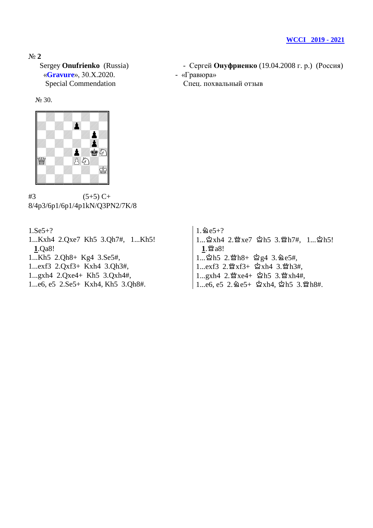«Gravure», 30.X.2020. - «Гравюра» Special Commendation Спец. похвальный отзыв

## № 30.



 $#3$  (5+5) C+ 8/4p3/6p1/6p1/4p1kN/Q3PN2/7K/8

1.Se5+? 1...Kxh4 2.Qxe7 Kh5 3.Qh7#, 1...Kh5! **1**.Qa8! 1...Kh5 2.Qh8+ Kg4 3.Se5#, 1...exf3 2.Qxf3+ Kxh4 3.Qh3#, 1...gxh4 2.Qxe4+ Kh5 3.Qxh4#, 1...e6, e5 2.Se5+ Kxh4, Kh5 3.Qh8#.

Sergey **Onufrienko** (Russia) - Сергей **Онуфриенко** (19.04.2008 г. р.) (Россия)

 $1.\,\mathrm{^2e5+?}$ 1... 含xh4 2. 營xe7 2h5 3. 營h7#, 1... 2h5!  $1.$  $^{\circ}$ a8!  $1...$  $2h5$   $2.\mathfrak{B}h8+$   $2g4$   $3.\mathfrak{B}e5\mathfrak{h},$ 1...exf3 2. 暨xf3+ ☆xh4 3. 暨h3#, 1...gxh4 2. 營xe4+ 宮h5 3. 營xh4#,  $1...e6$ ,  $e5$   $2.\,$   $2e5+$   $\&$   $xh4$ ,  $\&$   $h5$   $3.\,$   $\&$   $h8#$ .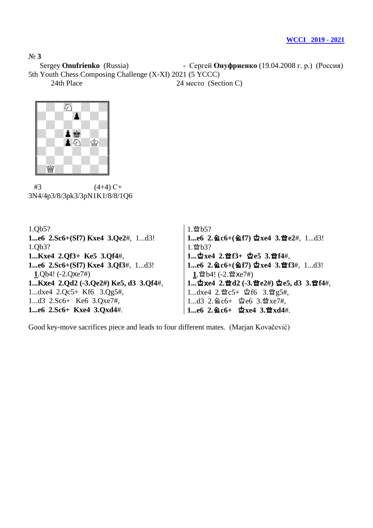Sergey **Onufrienko** (Russia) - Сергей **Онуфриенко** (19.04.2008 г. р.) (Россия)

5th Youth Chess Composing Challenge (X-XI) 2021 (5 YCCC)

24th Place 24 место (Section C)



 $#3$  (4+4) C+ 3N4/4p3/8/3pk3/3pN1K1/8/8/1Q6

1.Qb5? **1...e6 2.Sc6+(Sf7) Kxe4 3.Qe2**#, 1...d3! 1.Qb3? **1...Kxe4 2.Qf3+ Ke5 3.Qf4**#, **1...e6 2.Sc6+(Sf7) Kxe4 3.Qf3**#, 1...d3! **1**.Qb4! (-2.Qxe7#) **1...K**x**e4 2.Qd2 (-3.Qe2#) Ke5, d3 3.Qf4**#, 1...dxe4 2.Qc5+ Kf6 3.Qg5#, 1...d3 2.Sc6+ Ke6 3.Qxe7#, **1...e6 2.Sc6+ Kxe4 3.Qxd4**#.

```
1. 暨 b5?1...e6 2. gc6+(gf7) \Deltaxe4 3.曾e2#, 1...d3!
1. 暨b3?1... \Deltaxe4 2. 查f3+ \Deltae5 3. 查f4#,
1...e6 2. \Deltac6+(\Deltaf7) \Deltaxe4 3. 曾f3#, 1...d3!
 1. 曾b4! (-2. 暨 xe7#)
1... 空xe4 2. 暨d2 (-3. 暨e2#) 空e5, d3 3. 暨f4#,
1...dxe4 2.\mathcal{W}c5+ \mathcal{Q}f6 3.\mathcal{W}g5\#,
1...d3 2. 2e6+ $2e6 3. 曾xe7#,
1...e6 2. @c6+ 空xe4 3. 宫xd4#.
```
Good key-move sacrifices piece and leads to four different mates. (Marjan Kovačević)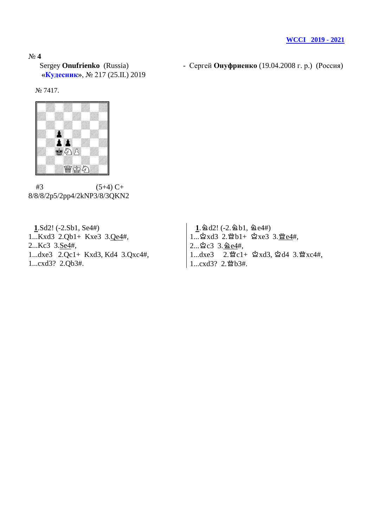**«Кудесник»**, № 217 (25.II.) 2019

Sergey **Onufrienko** (Russia) - Сергей **Онуфриенко** (19.04.2008 г. р.) (Россия)

№ 7417.



 $#3$  (5+4) C+ 8/8/8/2p5/2pp4/2kNP3/8/3QKN2

 **1**.Sd2! (-2.Sb1, Se4#) 1...Kxd3 2.Qb1+ Kxe3 3.Qe4#, 2...Kc3 3.Se4#, 1...dxe3 2.Qc1+ Kxd3, Kd4 3.Qxc4#, 1...cxd3? 2.Qb3#.

 $1.2d$ d2! (-2.2b1, 2e4#)  $1...\overset{1}{\approx}xd3$  2. $\overset{\omega_{0}}{2}b1+\overset{\omega_{2}}{2}xe3$  3. $\overset{\omega_{0}}{2}e4#$ ,  $2...\triangle$   $c3 \ \ 3.\triangle 64$ #,  $1...dxe3$   $2.\mathfrak{W}c1+\mathfrak{Q}xd3$ ,  $\mathfrak{Q}d4$   $3.\mathfrak{W}xc4\#$ , 1...cxd3? 2. 暨b3#.